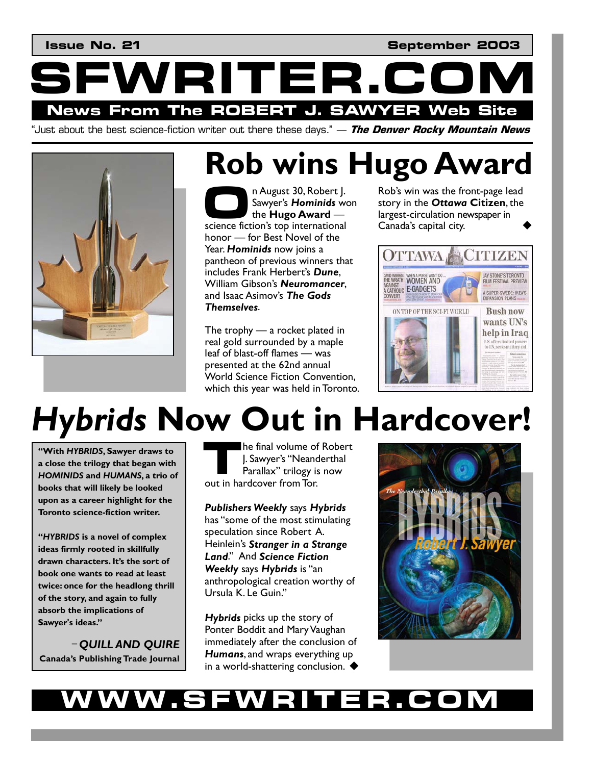**Issue No. 21** September 2003

**NRITER.C News From The ROBERT J. SAWYER Web Site** 

"Just about the best science-fiction writer out there these days." — **The Denver Rocky Mountain News**



# **Rob wins Hugo Award**<br> **C** Awayer's Hominids won<br>
the Hugo Award – Rob's win was the front-page lead

n August 30, Robert J. Sawyer's *Hominids* won the **Hugo Award** – **n August 30, Robert J.**<br>Sawyer's **Hominids** we<br>the **Hugo Award** —<br>science fiction's top international honor – for Best Novel of the Year. *Hominids* now joins a pantheon of previous winners that includes Frank Herbert's *Dune*, William Gibson's *Neuromancer*, and Isaac Asimov's *The Gods Themselves*.

The trophy  $-$  a rocket plated in real gold surrounded by a maple leaf of blast-off flames – was presented at the 62nd annual World Science Fiction Convention, which this year was held in Toronto. Rob's win was the front-page lead story in the *Ottawa* **Citizen**, the largest-circulation newspaper in Canada's capital city.



# *Hybrids* **Now Out in Hardcover!**

**"With** *HYBRIDS***, Sawyer draws to a close the trilogy that began with**  *HOMINIDS* **and** *HUMANS***, a trio of books that will likely be looked upon as a career highlight for the Toronto science-fiction writer.** 

**"***HYBRIDS* **is a novel of complex ideas firmly rooted in skillfully drawn characters. It's the sort of book one wants to read at least twice: once for the headlong thrill of the story, and again to fully absorb the implications of Sawyer's ideas."** 

**–** *QUILL AND QUIRE* **Canada's Publishing Trade Journal** 

he final volume of Robert J. Sawyer's "Neanderthal Parallax" trilogy is now **1. Sawyer's "Neand Parallax"** trilogy is out in hardcover from Tor.

*Publishers Weekly* says *Hybrids* has "some of the most stimulating speculation since Robert A. Heinlein's *Stranger in a Strange Land*." And *Science Fiction Weekly* says *Hybrids* is "an anthropological creation worthy of Ursula K. Le Guin."

*Hybrids* picks up the story of Ponter Boddit and Mary Vaughan immediately after the conclusion of *Humans*, and wraps everything up in a world-shattering conclusion.  $\blacklozenge$ 



# **WWW.SFWRITER.COM**